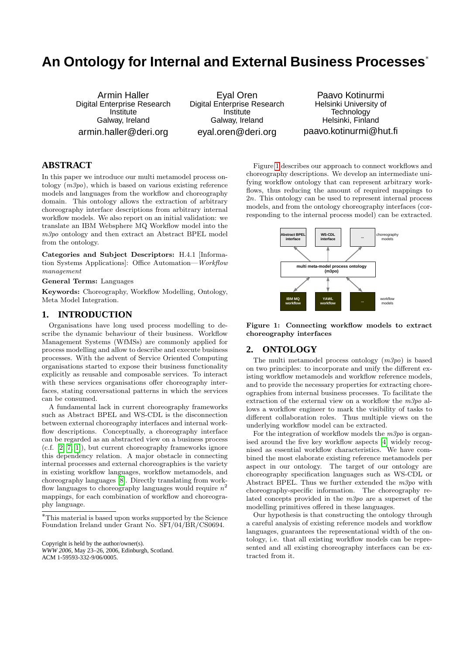# **An Ontology for Internal and External Business Processes**<sup>∗</sup>

Armin Haller Digital Enterprise Research Institute Galway, Ireland armin.haller@deri.org

Eyal Oren Digital Enterprise Research Institute Galway, Ireland eyal.oren@deri.org

Paavo Kotinurmi Helsinki University of **Technology** Helsinki, Finland paavo.kotinurmi@hut.fi

# **ABSTRACT**

In this paper we introduce our multi metamodel process ontology  $(m3po)$ , which is based on various existing reference models and languages from the workflow and choreography domain. This ontology allows the extraction of arbitrary choreography interface descriptions from arbitrary internal workflow models. We also report on an initial validation: we translate an IBM Websphere MQ Workflow model into the m3po ontology and then extract an Abstract BPEL model from the ontology.

Categories and Subject Descriptors: H.4.1 [Information Systems Applications]: Office Automation—Workflow management

General Terms: Languages

Keywords: Choreography, Workflow Modelling, Ontology, Meta Model Integration.

# **1. INTRODUCTION**

Organisations have long used process modelling to describe the dynamic behaviour of their business. Workflow Management Systems (WfMSs) are commonly applied for process modelling and allow to describe and execute business processes. With the advent of Service Oriented Computing organisations started to expose their business functionality explicitly as reusable and composable services. To interact with these services organisations offer choreography interfaces, stating conversational patterns in which the services can be consumed.

A fundamental lack in current choreography frameworks such as Abstract BPEL and WS-CDL is the disconnection between external choreography interfaces and internal workflow descriptions. Conceptually, a choreography interface can be regarded as an abstracted view on a business process (c.f. [\[2,](#page-1-0) [7,](#page-1-1) [1\]](#page-1-2)), but current choreography frameworks ignore this dependency relation. A major obstacle in connecting internal processes and external choreographies is the variety in existing workflow languages, workflow metamodels, and choreography languages [\[8\]](#page-1-3). Directly translating from workflow languages to choreography languages would require  $n^2$ mappings, for each combination of workflow and choreography language.

*WWW 2006,* May 23–26, 2006, Edinburgh, Scotland. ACM 1-59593-332-9/06/0005.

Figure [1](#page-0-0) describes our approach to connect workflows and choreography descriptions. We develop an intermediate unifying workflow ontology that can represent arbitrary workflows, thus reducing the amount of required mappings to 2n. This ontology can be used to represent internal process models, and from the ontology choreography interfaces (corresponding to the internal process model) can be extracted.



<span id="page-0-0"></span>Figure 1: Connecting workflow models to extract choreography interfaces

# **2. ONTOLOGY**

The multi metamodel process ontology  $(m3po)$  is based on two principles: to incorporate and unify the different existing workflow metamodels and workflow reference models, and to provide the necessary properties for extracting choreographies from internal business processes. To facilitate the extraction of the external view on a workflow the  $m3po$  allows a workflow engineer to mark the visibility of tasks to different collaboration roles. Thus multiple views on the underlying workflow model can be extracted.

For the integration of workflow models the  $m3po$  is organised around the five key workflow aspects [\[4\]](#page-1-4) widely recognised as essential workflow characteristics. We have combined the most elaborate existing reference metamodels per aspect in our ontology. The target of our ontology are choreography specification languages such as WS-CDL or Abstract BPEL. Thus we further extended the m3po with choreography-specific information. The choreography related concepts provided in the m3po are a superset of the modelling primitives offered in these languages.

Our hypothesis is that constructing the ontology through a careful analysis of existing reference models and workflow languages, guarantees the representational width of the ontology, i.e. that all existing workflow models can be represented and all existing choreography interfaces can be extracted from it.

<sup>∗</sup>This material is based upon works supported by the Science Foundation Ireland under Grant No. SFI/04/BR/CS0694.

Copyright is held by the author/owner(s).